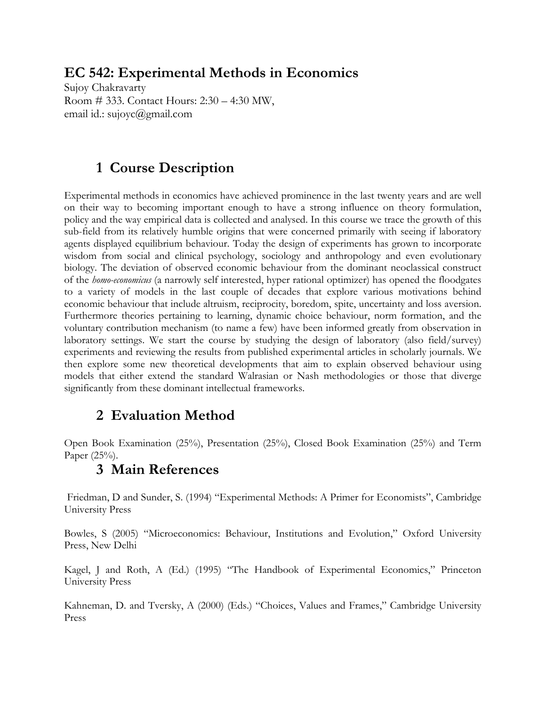## **EC 542: Experimental Methods in Economics**

Sujoy Chakravarty Room # 333. Contact Hours: 2:30 – 4:30 MW, email id.: sujoyc@gmail.com

## **1 Course Description**

Experimental methods in economics have achieved prominence in the last twenty years and are well on their way to becoming important enough to have a strong influence on theory formulation, policy and the way empirical data is collected and analysed. In this course we trace the growth of this sub-field from its relatively humble origins that were concerned primarily with seeing if laboratory agents displayed equilibrium behaviour. Today the design of experiments has grown to incorporate wisdom from social and clinical psychology, sociology and anthropology and even evolutionary biology. The deviation of observed economic behaviour from the dominant neoclassical construct of the *homo-economicus* (a narrowly self interested, hyper rational optimizer) has opened the floodgates to a variety of models in the last couple of decades that explore various motivations behind economic behaviour that include altruism, reciprocity, boredom, spite, uncertainty and loss aversion. Furthermore theories pertaining to learning, dynamic choice behaviour, norm formation, and the voluntary contribution mechanism (to name a few) have been informed greatly from observation in laboratory settings. We start the course by studying the design of laboratory (also field/survey) experiments and reviewing the results from published experimental articles in scholarly journals. We then explore some new theoretical developments that aim to explain observed behaviour using models that either extend the standard Walrasian or Nash methodologies or those that diverge significantly from these dominant intellectual frameworks.

# **2 Evaluation Method**

Open Book Examination (25%), Presentation (25%), Closed Book Examination (25%) and Term Paper (25%).

### **3 Main References**

Friedman, D and Sunder, S. (1994) "Experimental Methods: A Primer for Economists", Cambridge University Press

Bowles, S (2005) "Microeconomics: Behaviour, Institutions and Evolution," Oxford University Press, New Delhi

Kagel, J and Roth, A (Ed.) (1995) "The Handbook of Experimental Economics," Princeton University Press

Kahneman, D. and Tversky, A (2000) (Eds.) "Choices, Values and Frames," Cambridge University Press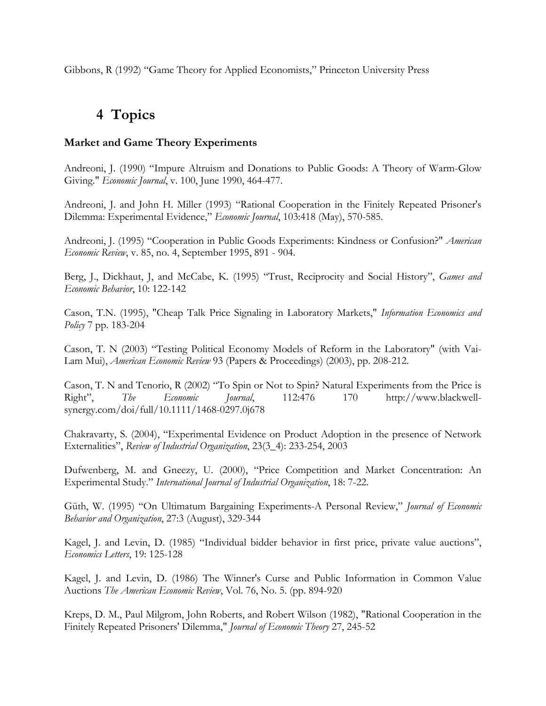Gibbons, R (1992) "Game Theory for Applied Economists," Princeton University Press

### **4 Topics**

#### **Market and Game Theory Experiments**

Andreoni, J. (1990) "Impure Altruism and Donations to Public Goods: A Theory of Warm-Glow Giving." *Economic Journal*, v. 100, June 1990, 464-477.

Andreoni, J. and John H. Miller (1993) "Rational Cooperation in the Finitely Repeated Prisoner's Dilemma: Experimental Evidence," *Economic Journal*, 103:418 (May), 570-585.

Andreoni, J. (1995) "Cooperation in Public Goods Experiments: Kindness or Confusion?" *American Economic Review*, v. 85, no. 4, September 1995, 891 - 904.

Berg, J., Dickhaut, J, and McCabe, K. (1995) "Trust, Reciprocity and Social History", *Games and Economic Behavior*, 10: 122-142

Cason, T.N. (1995), "Cheap Talk Price Signaling in Laboratory Markets," *Information Economics and Policy* 7 pp. 183-204

Cason, T. N (2003) "Testing Political Economy Models of Reform in the Laboratory" (with Vai-Lam Mui), *American Economic Review* 93 (Papers & Proceedings) (2003), pp. 208-212.

Cason, T. N and Tenorio, R (2002) "To Spin or Not to Spin? Natural Experiments from the Price is Right", *The Economic Journal*, 112:476 170 http://www.blackwellsynergy.com/doi/full/10.1111/1468-0297.0j678

Chakravarty, S. (2004), "Experimental Evidence on Product Adoption in the presence of Network Externalities", *Review of Industrial Organization*, 23(3\_4): 233-254, 2003

Dufwenberg, M. and Gneezy, U. (2000), "Price Competition and Market Concentration: An Experimental Study." *International Journal of Industrial Organization*, 18: 7-22.

Güth, W. (1995) "On Ultimatum Bargaining Experiments-A Personal Review," *Journal of Economic Behavior and Organization*, 27:3 (August), 329-344

Kagel, J. and Levin, D. (1985) "Individual bidder behavior in first price, private value auctions", *Economics Letters*, 19: 125-128

Kagel, J. and Levin, D. (1986) The Winner's Curse and Public Information in Common Value Auctions *The American Economic Review*, Vol. 76, No. 5. (pp. 894-920

Kreps, D. M., Paul Milgrom, John Roberts, and Robert Wilson (1982), "Rational Cooperation in the Finitely Repeated Prisoners' Dilemma," *Journal of Economic Theory* 27, 245-52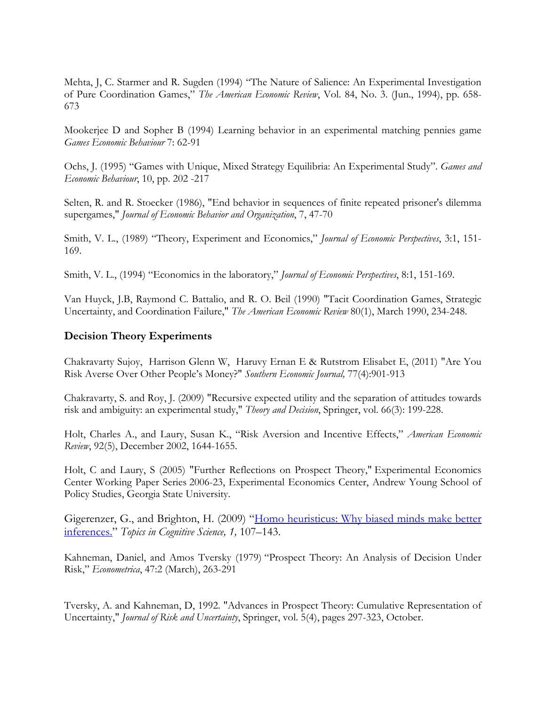Mehta, J, C. Starmer and R. Sugden (1994) "The Nature of Salience: An Experimental Investigation of Pure Coordination Games," *The American Economic Review*, Vol. 84, No. 3. (Jun., 1994), pp. 658- 673

Mookerjee D and Sopher B (1994) Learning behavior in an experimental matching pennies game *Games Economic Behaviour* 7: 62-91

Ochs, J. (1995) "Games with Unique, Mixed Strategy Equilibria: An Experimental Study". *Games and Economic Behaviour*, 10, pp. 202 -217

Selten, R. and R. Stoecker (1986), "End behavior in sequences of finite repeated prisoner's dilemma supergames," *Journal of Economic Behavior and Organization*, 7, 47-70

Smith, V. L., (1989) "Theory, Experiment and Economics," *Journal of Economic Perspectives*, 3:1, 151- 169.

Smith, V. L., (1994) "Economics in the laboratory," *Journal of Economic Perspectives*, 8:1, 151-169.

Van Huyck, J.B, Raymond C. Battalio, and R. O. Beil (1990) "Tacit Coordination Games, Strategic Uncertainty, and Coordination Failure," *The American Economic Review* 80(1), March 1990, 234-248.

#### **Decision Theory Experiments**

Chakravarty Sujoy, Harrison Glenn W, Haruvy Ernan E & Rutstrom Elisabet E, (2011) "Are You Risk Averse Over Other People's Money?" *Southern Economic Journal,* 77(4):901-913

Chakravarty, S. and Roy, J. (2009) "Recursive expected utility and the separation of attitudes towards risk and ambiguity: an experimental study," *Theory and Decision*, Springer, vol. 66(3): 199-228.

Holt, Charles A., and Laury, Susan K., "Risk Aversion and Incentive Effects," *American Economic Review*, 92(5), December 2002, 1644-1655.

Holt, C and Laury, S (2005) "Further Reflections on Prospect Theory," Experimental Economics Center Working Paper Series 2006-23, Experimental Economics Center, Andrew Young School of Policy Studies, Georgia State University.

Gigerenzer, G., and Brighton, H. (2009) ["Homo heuristicus: Why biased minds make better](http://citrixweb.mpib-berlin.mpg.de/montez/upload/PaperLibrary/GGBrighton_HomoHeuristicus-1.pdf)  [inferences.](http://citrixweb.mpib-berlin.mpg.de/montez/upload/PaperLibrary/GGBrighton_HomoHeuristicus-1.pdf)" *Topics in Cognitive Science, 1,* 107–143.

Kahneman, Daniel, and Amos Tversky (1979) "Prospect Theory: An Analysis of Decision Under Risk," *Econometrica*, 47:2 (March), 263-291

Tversky, A. and Kahneman, D, 1992. "Advances in Prospect Theory: Cumulative Representation of Uncertainty," *Journal of Risk and Uncertainty*, Springer, vol. 5(4), pages 297-323, October.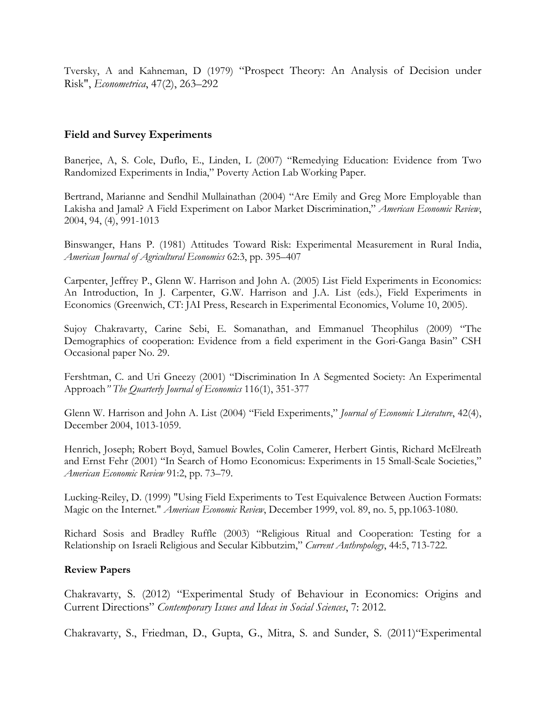Tversky, A and Kahneman, D (1979) "Prospect Theory: An Analysis of Decision under Risk", *Econometrica*, 47(2), 263–292

#### **Field and Survey Experiments**

Banerjee, A, S. Cole, Duflo, E., Linden, L (2007) "Remedying Education: Evidence from Two Randomized Experiments in India," Poverty Action Lab Working Paper.

Bertrand, Marianne and Sendhil Mullainathan (2004) "Are Emily and Greg More Employable than Lakisha and Jamal? A Field Experiment on Labor Market Discrimination," *American Economic Review*, 2004, 94, (4), 991-1013

Binswanger, Hans P. (1981) Attitudes Toward Risk: Experimental Measurement in Rural India, *American Journal of Agricultural Economics* 62:3, pp. 395–407

Carpenter, Jeffrey P., Glenn W. Harrison and John A. (2005) List Field Experiments in Economics: An Introduction, In J. Carpenter, G.W. Harrison and J.A. List (eds.), Field Experiments in Economics (Greenwich, CT: JAI Press, Research in Experimental Economics, Volume 10, 2005).

Sujoy Chakravarty, Carine Sebi, E. Somanathan, and Emmanuel Theophilus (2009) "The Demographics of cooperation: Evidence from a field experiment in the Gori-Ganga Basin" CSH Occasional paper No. 29.

Fershtman, C. and Uri Gneezy (2001) "Discrimination In A Segmented Society: An Experimental Approach*" The Quarterly Journal of Economics* 116(1), 351-377

Glenn W. Harrison and John A. List (2004) "Field Experiments," *Journal of Economic Literature*, 42(4), December 2004, 1013-1059.

Henrich, Joseph; Robert Boyd, Samuel Bowles, Colin Camerer, Herbert Gintis, Richard McElreath and Ernst Fehr (2001) "In Search of Homo Economicus: Experiments in 15 Small-Scale Societies," *American Economic Review* 91:2, pp. 73–79.

Lucking-Reiley, D. (1999) "Using Field Experiments to Test Equivalence Between Auction Formats: Magic on the Internet." *American Economic Review*, December 1999, vol. 89, no. 5, pp.1063-1080.

Richard Sosis and Bradley Ruffle (2003) "Religious Ritual and Cooperation: Testing for a Relationship on Israeli Religious and Secular Kibbutzim," *Current Anthropology*, 44:5, 713-722.

#### **Review Papers**

Chakravarty, S. (2012) "Experimental Study of Behaviour in Economics: Origins and Current Directions" *Contemporary Issues and Ideas in Social Sciences*, 7: 2012.

Chakravarty, S., Friedman, D., Gupta, G., Mitra, S. and Sunder, S. (2011)"Experimental